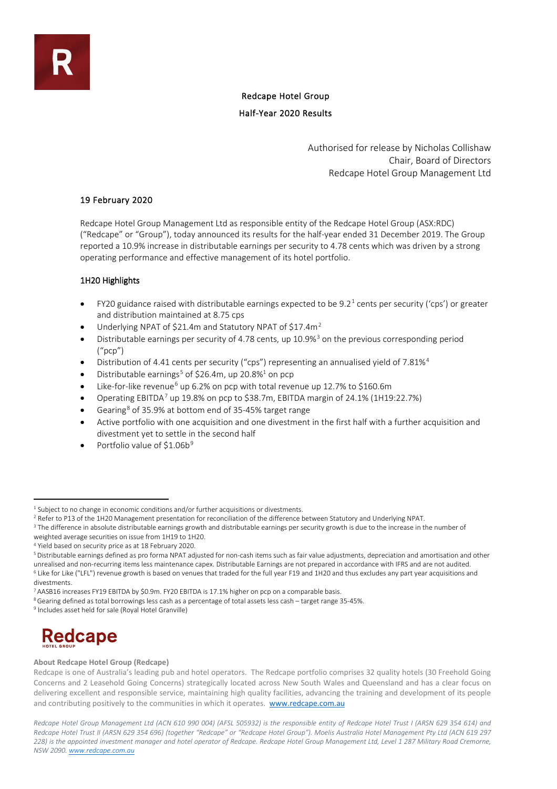# Redcape Hotel Group Half-Year 2020 Results

Authorised for release by Nicholas Collishaw Chair, Board of Directors Redcape Hotel Group Management Ltd

# 19 February 2020

Redcape Hotel Group Management Ltd as responsible entity of the Redcape Hotel Group (ASX:RDC) ("Redcape" or "Group"), today announced its results for the half-year ended 31 December 2019. The Group reported a 10.9% increase in distributable earnings per security to 4.78 cents which was driven by a strong operating performance and effective management of its hotel portfolio.

# 1H20 Highlights

- FY20 guidance raised with distributable earnings expected to be  $9.2<sup>1</sup>$  $9.2<sup>1</sup>$  $9.2<sup>1</sup>$  cents per security ('cps') or greater and distribution maintained at 8.75 cps
- Underlying NPAT of \$[2](#page-0-1)1.4m and Statutory NPAT of \$17.4m<sup>2</sup>
- Distributable earnings per security of 4.78 cents, up 10.9%<sup>[3](#page-0-2)</sup> on the previous corresponding period ("pcp")
- Distribution of 4.41 cents per security ("cps") representing an annualised yield of 7.81%[4](#page-0-3)
- Distributable earnings<sup>[5](#page-0-4)</sup> of \$26.4m, up 20.8%<sup>1</sup> on pcp
- Like-for-like revenue<sup>[6](#page-0-5)</sup> up 6.2% on pcp with total revenue up 12.7% to \$160.6m
- Operating EBITDA[7](#page-0-6) up 19.8% on pcp to \$38.7m, EBITDA margin of 24.1% (1H19:22.7%)
- Gearing<sup>[8](#page-0-7)</sup> of 35.9% at bottom end of 35-45% target range
- Active portfolio with one acquisition and one divestment in the first half with a further acquisition and divestment yet to settle in the second half
- Portfolio value of \$1.06b<sup>[9](#page-0-8)</sup>

<span id="page-0-8"></span><sup>9</sup> Includes asset held for sale (Royal Hotel Granville)



### **About Redcape Hotel Group (Redcape)**

Redcape is one of Australia's leading pub and hotel operators. The Redcape portfolio comprises 32 quality hotels (30 Freehold Going Concerns and 2 Leasehold Going Concerns) strategically located across New South Wales and Queensland and has a clear focus on delivering excellent and responsible service, maintaining high quality facilities, advancing the training and development of its people and contributing positively to the communities in which it operates. [www.redcape.com.au](http://www.redcape.com.au/)

*Redcape Hotel Group Management Ltd (ACN 610 990 004) (AFSL 505932) is the responsible entity of Redcape Hotel Trust I (ARSN 629 354 614) and Redcape Hotel Trust II (ARSN 629 354 696) (together "Redcape" or "Redcape Hotel Group"). Moelis Australia Hotel Management Pty Ltd (ACN 619 297 228) is the appointed investment manager and hotel operator of Redcape. Redcape Hotel Group Management Ltd, Level 1 287 Military Road Cremorne, NSW 2090[. www.redcape.com.au](http://www.redcape.com.au/)*

<span id="page-0-0"></span><sup>&</sup>lt;sup>1</sup> Subject to no change in economic conditions and/or further acquisitions or divestments.

<span id="page-0-1"></span><sup>&</sup>lt;sup>2</sup> Refer to P13 of the 1H20 Management presentation for reconciliation of the difference between Statutory and Underlying NPAT.

<span id="page-0-2"></span><sup>&</sup>lt;sup>3</sup> The difference in absolute distributable earnings growth and distributable earnings per security growth is due to the increase in the number of

weighted average securities on issue from 1H19 to 1H20.

<span id="page-0-3"></span><sup>4</sup> Yield based on security price as at 18 February 2020.

<span id="page-0-4"></span><sup>5</sup>Distributable earnings defined as pro forma NPAT adjusted for non-cash items such as fair value adjustments, depreciation and amortisation and other unrealised and non-recurring items less maintenance capex. Distributable Earnings are not prepared in accordance with IFRS and are not audited. <sup>6</sup> Like for Like ("LFL") revenue growth is based on venues that traded for the full year F19 and 1H20 and thus excludes any part year acquisitions and

<span id="page-0-5"></span>divestments.

<span id="page-0-6"></span><sup>7</sup> AASB16 increases FY19 EBITDA by \$0.9m. FY20 EBITDA is 17.1% higher on pcp on a comparable basis.

<span id="page-0-7"></span><sup>8</sup>Gearing defined as total borrowings less cash as a percentage of total assets less cash – target range 35-45%.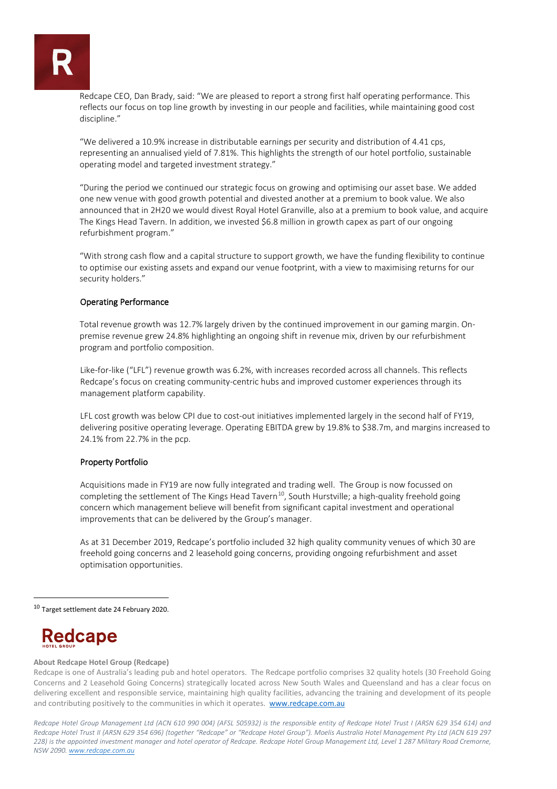Redcape CEO, Dan Brady, said: "We are pleased to report a strong first half operating performance. This reflects our focus on top line growth by investing in our people and facilities, while maintaining good cost discipline."

"We delivered a 10.9% increase in distributable earnings per security and distribution of 4.41 cps, representing an annualised yield of 7.81%. This highlights the strength of our hotel portfolio, sustainable operating model and targeted investment strategy."

"During the period we continued our strategic focus on growing and optimising our asset base. We added one new venue with good growth potential and divested another at a premium to book value. We also announced that in 2H20 we would divest Royal Hotel Granville, also at a premium to book value, and acquire The Kings Head Tavern. In addition, we invested \$6.8 million in growth capex as part of our ongoing refurbishment program."

"With strong cash flow and a capital structure to support growth, we have the funding flexibility to continue to optimise our existing assets and expand our venue footprint, with a view to maximising returns for our security holders."

# Operating Performance

Total revenue growth was 12.7% largely driven by the continued improvement in our gaming margin. Onpremise revenue grew 24.8% highlighting an ongoing shift in revenue mix, driven by our refurbishment program and portfolio composition.

Like-for-like ("LFL") revenue growth was 6.2%, with increases recorded across all channels. This reflects Redcape's focus on creating community-centric hubs and improved customer experiences through its management platform capability.

LFL cost growth was below CPI due to cost-out initiatives implemented largely in the second half of FY19, delivering positive operating leverage. Operating EBITDA grew by 19.8% to \$38.7m, and margins increased to 24.1% from 22.7% in the pcp.

### Property Portfolio

Acquisitions made in FY19 are now fully integrated and trading well. The Group is now focussed on completing the settlement of The Kings Head Tavern<sup>10</sup>, South Hurstville; a high-quality freehold going concern which management believe will benefit from significant capital investment and operational improvements that can be delivered by the Group's manager.

As at 31 December 2019, Redcape's portfolio included 32 high quality community venues of which 30 are freehold going concerns and 2 leasehold going concerns, providing ongoing refurbishment and asset optimisation opportunities.

<span id="page-1-0"></span><sup>10</sup> Target settlement date 24 February 2020.

# **Redcape**

### **About Redcape Hotel Group (Redcape)**

Redcape is one of Australia's leading pub and hotel operators. The Redcape portfolio comprises 32 quality hotels (30 Freehold Going Concerns and 2 Leasehold Going Concerns) strategically located across New South Wales and Queensland and has a clear focus on delivering excellent and responsible service, maintaining high quality facilities, advancing the training and development of its people and contributing positively to the communities in which it operates. [www.redcape.com.au](http://www.redcape.com.au/)

*Redcape Hotel Group Management Ltd (ACN 610 990 004) (AFSL 505932) is the responsible entity of Redcape Hotel Trust I (ARSN 629 354 614) and Redcape Hotel Trust II (ARSN 629 354 696) (together "Redcape" or "Redcape Hotel Group"). Moelis Australia Hotel Management Pty Ltd (ACN 619 297 228) is the appointed investment manager and hotel operator of Redcape. Redcape Hotel Group Management Ltd, Level 1 287 Military Road Cremorne, NSW 2090[. www.redcape.com.au](http://www.redcape.com.au/)*